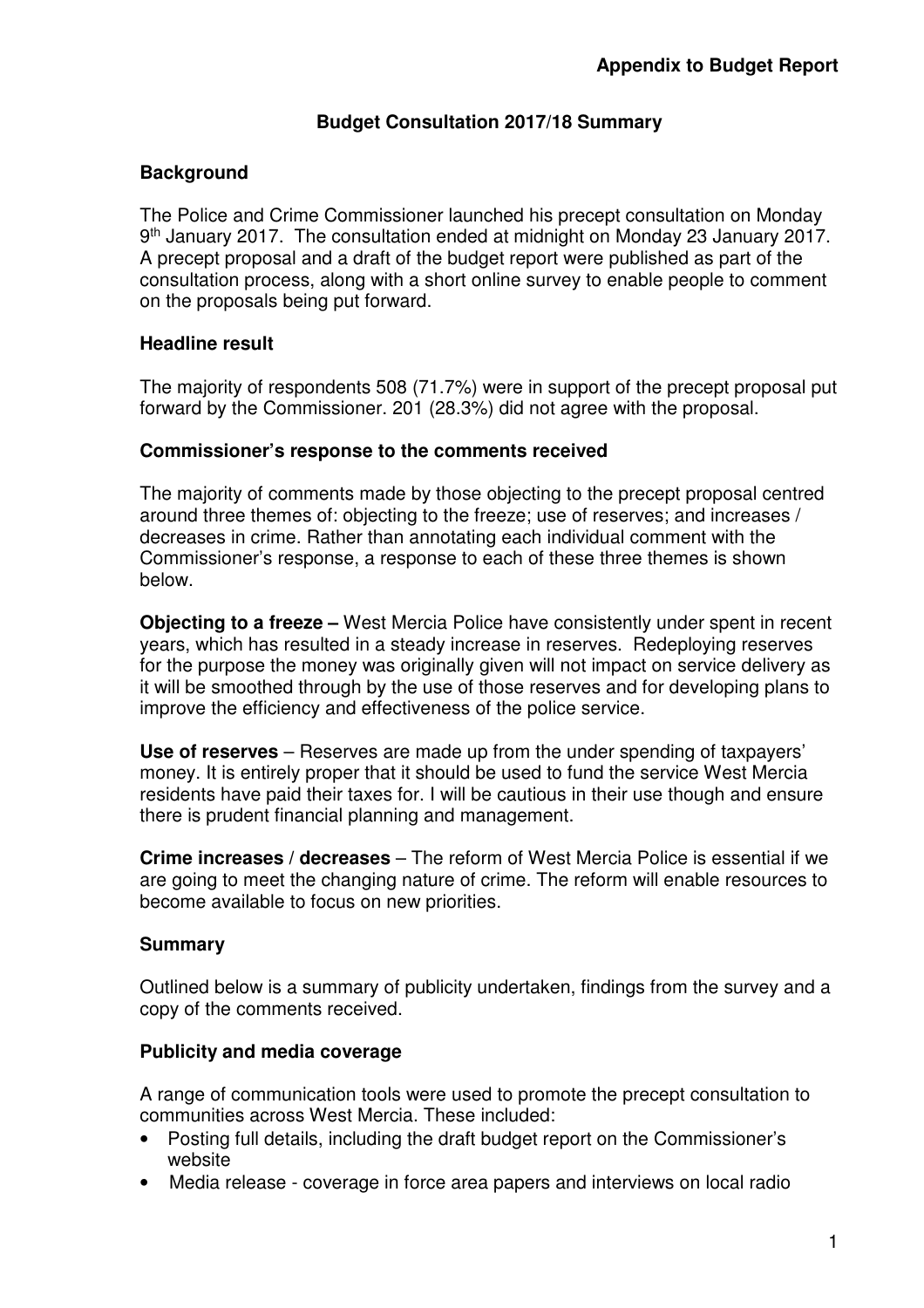## **Budget Consultation 2017/18 Summary**

## **Background**

The Police and Crime Commissioner launched his precept consultation on Monday 9<sup>th</sup> January 2017. The consultation ended at midnight on Monday 23 January 2017. A precept proposal and a draft of the budget report were published as part of the consultation process, along with a short online survey to enable people to comment on the proposals being put forward.

## **Headline result**

The majority of respondents 508 (71.7%) were in support of the precept proposal put forward by the Commissioner. 201 (28.3%) did not agree with the proposal.

#### **Commissioner's response to the comments received**

The majority of comments made by those objecting to the precept proposal centred around three themes of: objecting to the freeze; use of reserves; and increases / decreases in crime. Rather than annotating each individual comment with the Commissioner's response, a response to each of these three themes is shown below.

**Objecting to a freeze –** West Mercia Police have consistently under spent in recent years, which has resulted in a steady increase in reserves. Redeploying reserves for the purpose the money was originally given will not impact on service delivery as it will be smoothed through by the use of those reserves and for developing plans to improve the efficiency and effectiveness of the police service.

**Use of reserves** – Reserves are made up from the under spending of taxpayers' money. It is entirely proper that it should be used to fund the service West Mercia residents have paid their taxes for. I will be cautious in their use though and ensure there is prudent financial planning and management.

**Crime increases / decreases** – The reform of West Mercia Police is essential if we are going to meet the changing nature of crime. The reform will enable resources to become available to focus on new priorities.

## **Summary**

Outlined below is a summary of publicity undertaken, findings from the survey and a copy of the comments received.

#### **Publicity and media coverage**

A range of communication tools were used to promote the precept consultation to communities across West Mercia. These included:

- Posting full details, including the draft budget report on the Commissioner's website
- Media release coverage in force area papers and interviews on local radio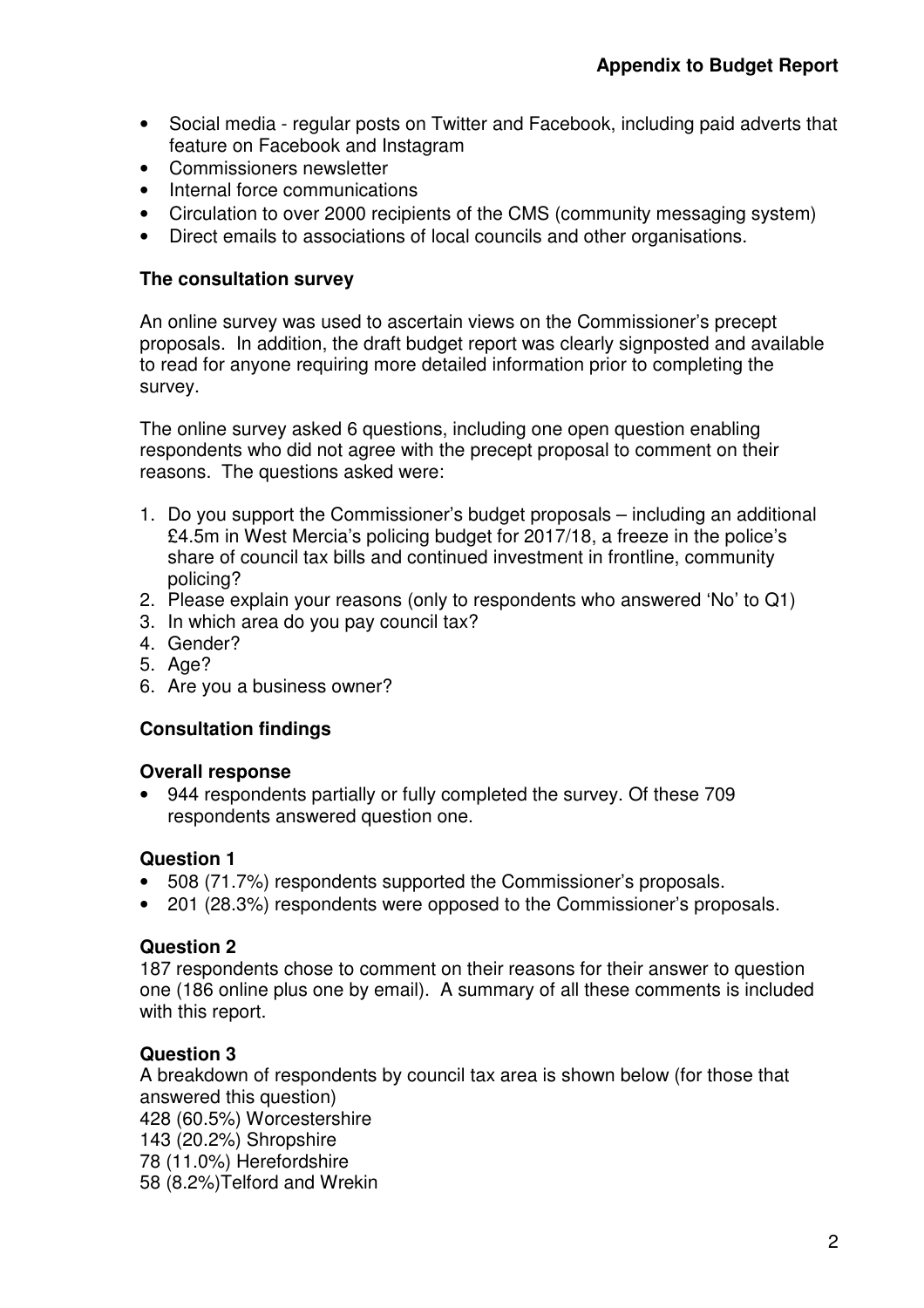- Social media regular posts on Twitter and Facebook, including paid adverts that feature on Facebook and Instagram
- Commissioners newsletter
- Internal force communications
- Circulation to over 2000 recipients of the CMS (community messaging system)
- Direct emails to associations of local councils and other organisations.

#### **The consultation survey**

An online survey was used to ascertain views on the Commissioner's precept proposals. In addition, the draft budget report was clearly signposted and available to read for anyone requiring more detailed information prior to completing the survey.

The online survey asked 6 questions, including one open question enabling respondents who did not agree with the precept proposal to comment on their reasons. The questions asked were:

- 1. Do you support the Commissioner's budget proposals including an additional £4.5m in West Mercia's policing budget for 2017/18, a freeze in the police's share of council tax bills and continued investment in frontline, community policing?
- 2. Please explain your reasons (only to respondents who answered 'No' to Q1)
- 3. In which area do you pay council tax?
- 4. Gender?
- 5. Age?
- 6. Are you a business owner?

## **Consultation findings**

## **Overall response**

• 944 respondents partially or fully completed the survey. Of these 709 respondents answered question one.

## **Question 1**

- 508 (71.7%) respondents supported the Commissioner's proposals.
- 201 (28.3%) respondents were opposed to the Commissioner's proposals.

## **Question 2**

187 respondents chose to comment on their reasons for their answer to question one (186 online plus one by email). A summary of all these comments is included with this report.

## **Question 3**

A breakdown of respondents by council tax area is shown below (for those that answered this question) 428 (60.5%) Worcestershire 143 (20.2%) Shropshire 78 (11.0%) Herefordshire 58 (8.2%)Telford and Wrekin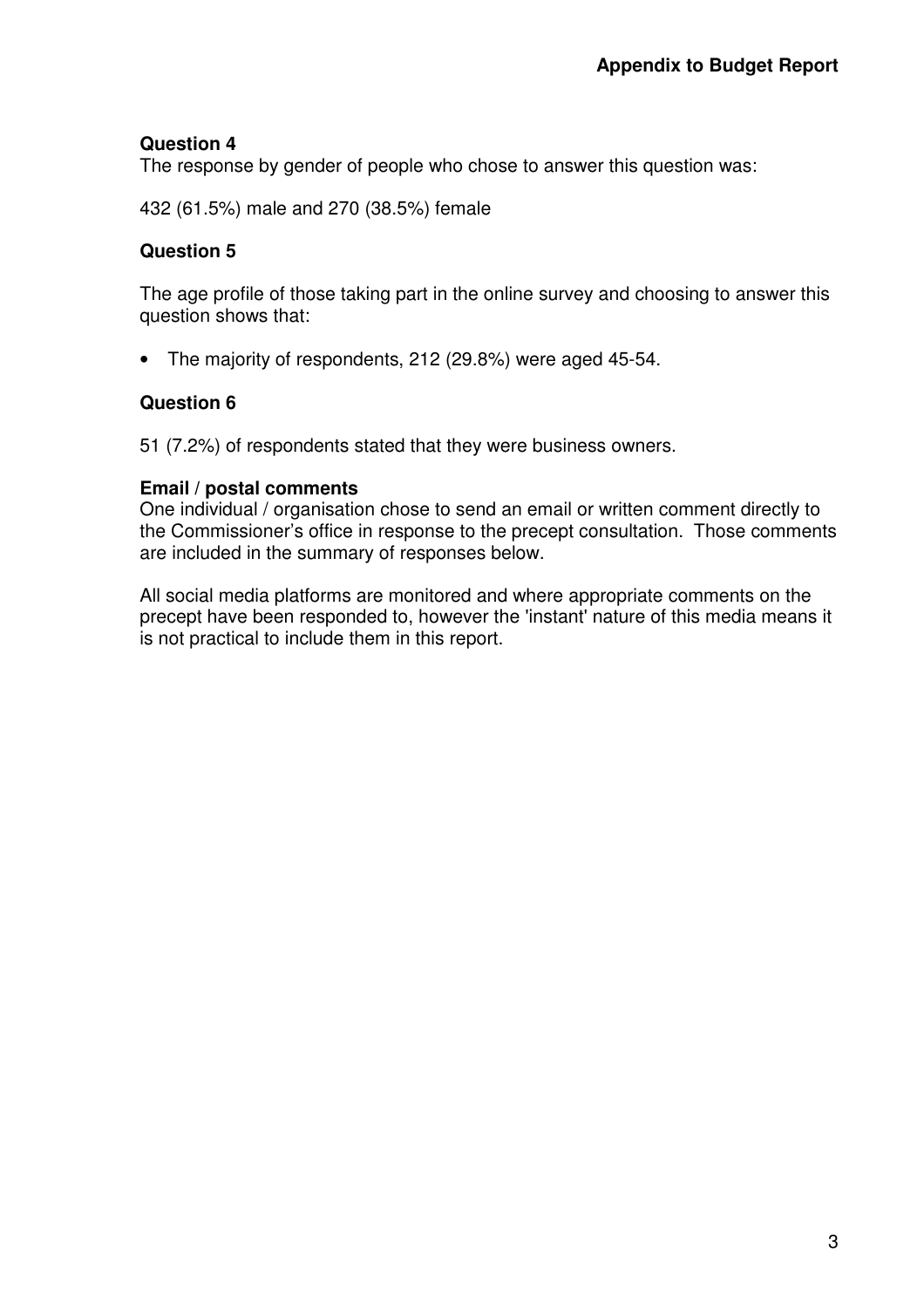#### **Question 4**

The response by gender of people who chose to answer this question was:

432 (61.5%) male and 270 (38.5%) female

#### **Question 5**

The age profile of those taking part in the online survey and choosing to answer this question shows that:

• The majority of respondents, 212 (29.8%) were aged 45-54.

#### **Question 6**

51 (7.2%) of respondents stated that they were business owners.

#### **Email / postal comments**

One individual / organisation chose to send an email or written comment directly to the Commissioner's office in response to the precept consultation. Those comments are included in the summary of responses below.

All social media platforms are monitored and where appropriate comments on the precept have been responded to, however the 'instant' nature of this media means it is not practical to include them in this report.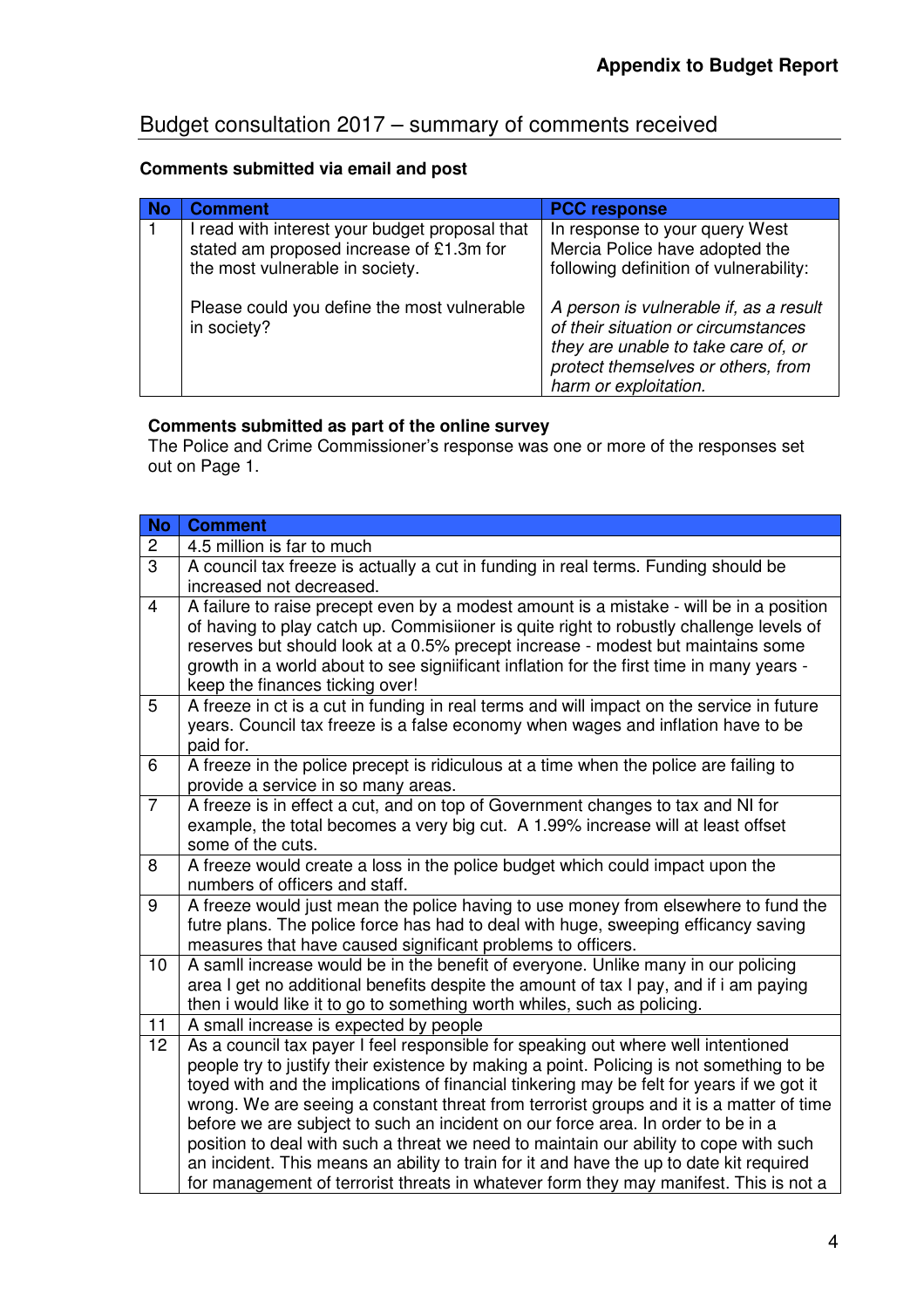# Budget consultation 2017 – summary of comments received

# **Comments submitted via email and post**

| <b>Comment</b>                                                                                                                | <b>PCC response</b>                                                                                                                                                                 |
|-------------------------------------------------------------------------------------------------------------------------------|-------------------------------------------------------------------------------------------------------------------------------------------------------------------------------------|
| I read with interest your budget proposal that<br>stated am proposed increase of £1.3m for<br>the most vulnerable in society. | In response to your query West<br>Mercia Police have adopted the<br>following definition of vulnerability:                                                                          |
| Please could you define the most vulnerable<br>in society?                                                                    | A person is vulnerable if, as a result<br>of their situation or circumstances<br>they are unable to take care of, or<br>protect themselves or others, from<br>harm or exploitation. |

# **Comments submitted as part of the online survey**

The Police and Crime Commissioner's response was one or more of the responses set out on Page 1.

| <b>No</b>            | <b>Comment</b>                                                                                                                                                                                                                                                                                                                                                                                                                                                                                                                                                                                                                                                                                                                                                                                                                                                                                                                                                                    |
|----------------------|-----------------------------------------------------------------------------------------------------------------------------------------------------------------------------------------------------------------------------------------------------------------------------------------------------------------------------------------------------------------------------------------------------------------------------------------------------------------------------------------------------------------------------------------------------------------------------------------------------------------------------------------------------------------------------------------------------------------------------------------------------------------------------------------------------------------------------------------------------------------------------------------------------------------------------------------------------------------------------------|
| $\overline{c}$       | 4.5 million is far to much                                                                                                                                                                                                                                                                                                                                                                                                                                                                                                                                                                                                                                                                                                                                                                                                                                                                                                                                                        |
| $\overline{3}$       | A council tax freeze is actually a cut in funding in real terms. Funding should be                                                                                                                                                                                                                                                                                                                                                                                                                                                                                                                                                                                                                                                                                                                                                                                                                                                                                                |
|                      | increased not decreased.                                                                                                                                                                                                                                                                                                                                                                                                                                                                                                                                                                                                                                                                                                                                                                                                                                                                                                                                                          |
| $\overline{4}$       | A failure to raise precept even by a modest amount is a mistake - will be in a position                                                                                                                                                                                                                                                                                                                                                                                                                                                                                                                                                                                                                                                                                                                                                                                                                                                                                           |
|                      | of having to play catch up. Commisiioner is quite right to robustly challenge levels of                                                                                                                                                                                                                                                                                                                                                                                                                                                                                                                                                                                                                                                                                                                                                                                                                                                                                           |
|                      | reserves but should look at a 0.5% precept increase - modest but maintains some                                                                                                                                                                                                                                                                                                                                                                                                                                                                                                                                                                                                                                                                                                                                                                                                                                                                                                   |
|                      | growth in a world about to see signiificant inflation for the first time in many years -                                                                                                                                                                                                                                                                                                                                                                                                                                                                                                                                                                                                                                                                                                                                                                                                                                                                                          |
| 5                    | keep the finances ticking over!<br>A freeze in ct is a cut in funding in real terms and will impact on the service in future                                                                                                                                                                                                                                                                                                                                                                                                                                                                                                                                                                                                                                                                                                                                                                                                                                                      |
|                      | years. Council tax freeze is a false economy when wages and inflation have to be                                                                                                                                                                                                                                                                                                                                                                                                                                                                                                                                                                                                                                                                                                                                                                                                                                                                                                  |
|                      | paid for.                                                                                                                                                                                                                                                                                                                                                                                                                                                                                                                                                                                                                                                                                                                                                                                                                                                                                                                                                                         |
| 6                    | A freeze in the police precept is ridiculous at a time when the police are failing to                                                                                                                                                                                                                                                                                                                                                                                                                                                                                                                                                                                                                                                                                                                                                                                                                                                                                             |
|                      | provide a service in so many areas.                                                                                                                                                                                                                                                                                                                                                                                                                                                                                                                                                                                                                                                                                                                                                                                                                                                                                                                                               |
| $\overline{7}$       | A freeze is in effect a cut, and on top of Government changes to tax and NI for                                                                                                                                                                                                                                                                                                                                                                                                                                                                                                                                                                                                                                                                                                                                                                                                                                                                                                   |
|                      | example, the total becomes a very big cut. A 1.99% increase will at least offset                                                                                                                                                                                                                                                                                                                                                                                                                                                                                                                                                                                                                                                                                                                                                                                                                                                                                                  |
|                      | some of the cuts.                                                                                                                                                                                                                                                                                                                                                                                                                                                                                                                                                                                                                                                                                                                                                                                                                                                                                                                                                                 |
| 8                    | A freeze would create a loss in the police budget which could impact upon the                                                                                                                                                                                                                                                                                                                                                                                                                                                                                                                                                                                                                                                                                                                                                                                                                                                                                                     |
|                      | numbers of officers and staff.                                                                                                                                                                                                                                                                                                                                                                                                                                                                                                                                                                                                                                                                                                                                                                                                                                                                                                                                                    |
|                      |                                                                                                                                                                                                                                                                                                                                                                                                                                                                                                                                                                                                                                                                                                                                                                                                                                                                                                                                                                                   |
|                      |                                                                                                                                                                                                                                                                                                                                                                                                                                                                                                                                                                                                                                                                                                                                                                                                                                                                                                                                                                                   |
| 10                   | A samll increase would be in the benefit of everyone. Unlike many in our policing                                                                                                                                                                                                                                                                                                                                                                                                                                                                                                                                                                                                                                                                                                                                                                                                                                                                                                 |
|                      | area I get no additional benefits despite the amount of tax I pay, and if i am paying                                                                                                                                                                                                                                                                                                                                                                                                                                                                                                                                                                                                                                                                                                                                                                                                                                                                                             |
|                      | then i would like it to go to something worth whiles, such as policing.                                                                                                                                                                                                                                                                                                                                                                                                                                                                                                                                                                                                                                                                                                                                                                                                                                                                                                           |
| 11                   | A small increase is expected by people                                                                                                                                                                                                                                                                                                                                                                                                                                                                                                                                                                                                                                                                                                                                                                                                                                                                                                                                            |
|                      |                                                                                                                                                                                                                                                                                                                                                                                                                                                                                                                                                                                                                                                                                                                                                                                                                                                                                                                                                                                   |
|                      |                                                                                                                                                                                                                                                                                                                                                                                                                                                                                                                                                                                                                                                                                                                                                                                                                                                                                                                                                                                   |
|                      |                                                                                                                                                                                                                                                                                                                                                                                                                                                                                                                                                                                                                                                                                                                                                                                                                                                                                                                                                                                   |
|                      |                                                                                                                                                                                                                                                                                                                                                                                                                                                                                                                                                                                                                                                                                                                                                                                                                                                                                                                                                                                   |
|                      |                                                                                                                                                                                                                                                                                                                                                                                                                                                                                                                                                                                                                                                                                                                                                                                                                                                                                                                                                                                   |
|                      |                                                                                                                                                                                                                                                                                                                                                                                                                                                                                                                                                                                                                                                                                                                                                                                                                                                                                                                                                                                   |
|                      |                                                                                                                                                                                                                                                                                                                                                                                                                                                                                                                                                                                                                                                                                                                                                                                                                                                                                                                                                                                   |
| 9<br>$\overline{12}$ | A freeze would just mean the police having to use money from elsewhere to fund the<br>futre plans. The police force has had to deal with huge, sweeping efficancy saving<br>measures that have caused significant problems to officers.<br>As a council tax payer I feel responsible for speaking out where well intentioned<br>people try to justify their existence by making a point. Policing is not something to be<br>toyed with and the implications of financial tinkering may be felt for years if we got it<br>wrong. We are seeing a constant threat from terrorist groups and it is a matter of time<br>before we are subject to such an incident on our force area. In order to be in a<br>position to deal with such a threat we need to maintain our ability to cope with such<br>an incident. This means an ability to train for it and have the up to date kit required<br>for management of terrorist threats in whatever form they may manifest. This is not a |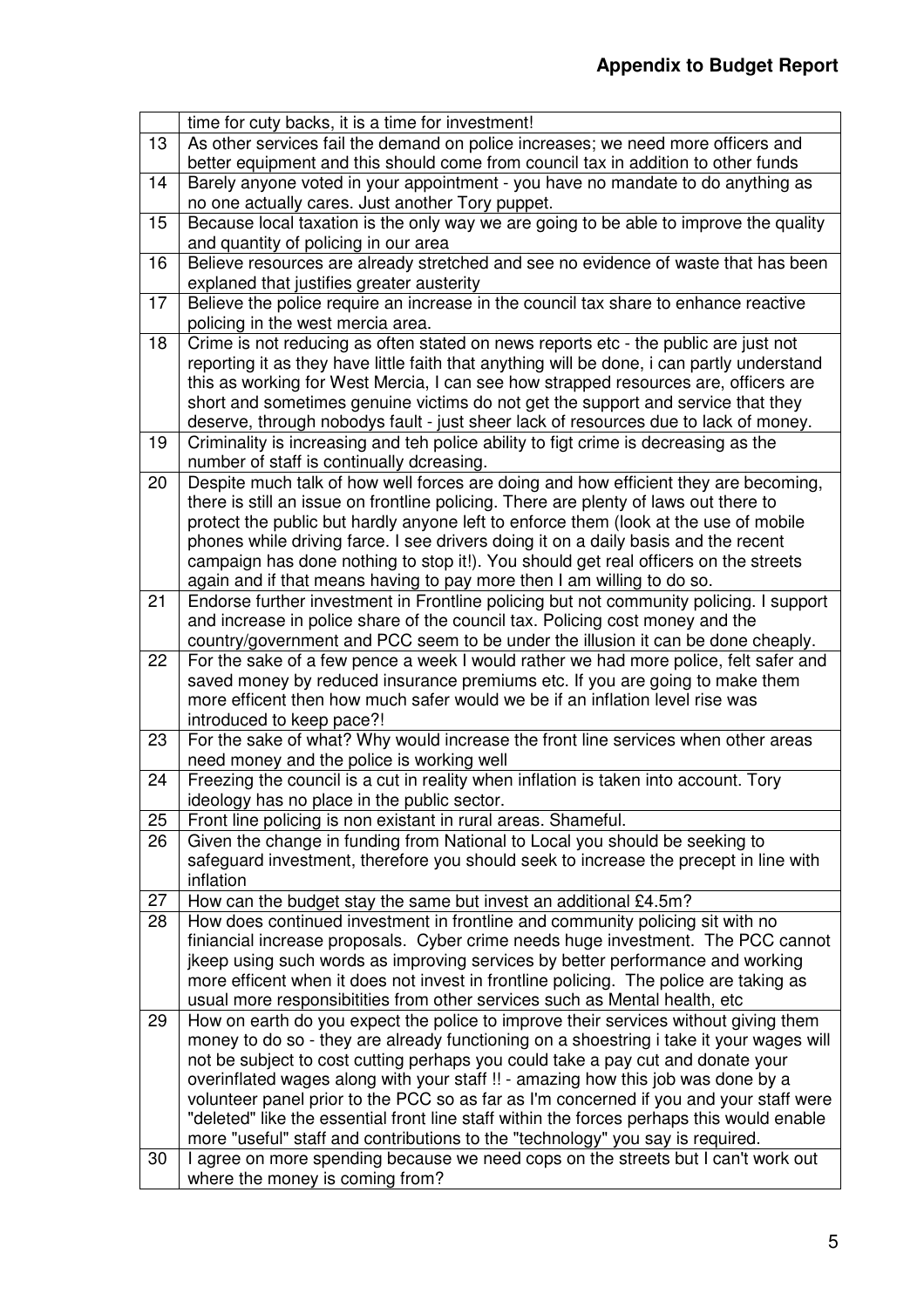|    | time for cuty backs, it is a time for investment!                                                                                                                         |
|----|---------------------------------------------------------------------------------------------------------------------------------------------------------------------------|
| 13 | As other services fail the demand on police increases; we need more officers and                                                                                          |
|    | better equipment and this should come from council tax in addition to other funds                                                                                         |
| 14 | Barely anyone voted in your appointment - you have no mandate to do anything as                                                                                           |
|    | no one actually cares. Just another Tory puppet.                                                                                                                          |
| 15 | Because local taxation is the only way we are going to be able to improve the quality                                                                                     |
|    | and quantity of policing in our area                                                                                                                                      |
| 16 | Believe resources are already stretched and see no evidence of waste that has been                                                                                        |
|    | explaned that justifies greater austerity                                                                                                                                 |
| 17 | Believe the police require an increase in the council tax share to enhance reactive                                                                                       |
|    | policing in the west mercia area.                                                                                                                                         |
| 18 | Crime is not reducing as often stated on news reports etc - the public are just not                                                                                       |
|    | reporting it as they have little faith that anything will be done, i can partly understand                                                                                |
|    | this as working for West Mercia, I can see how strapped resources are, officers are                                                                                       |
|    | short and sometimes genuine victims do not get the support and service that they                                                                                          |
|    | deserve, through nobodys fault - just sheer lack of resources due to lack of money.                                                                                       |
| 19 | Criminality is increasing and teh police ability to figt crime is decreasing as the                                                                                       |
|    | number of staff is continually dcreasing.                                                                                                                                 |
| 20 | Despite much talk of how well forces are doing and how efficient they are becoming,                                                                                       |
|    | there is still an issue on frontline policing. There are plenty of laws out there to                                                                                      |
|    | protect the public but hardly anyone left to enforce them (look at the use of mobile                                                                                      |
|    | phones while driving farce. I see drivers doing it on a daily basis and the recent<br>campaign has done nothing to stop it!). You should get real officers on the streets |
|    | again and if that means having to pay more then I am willing to do so.                                                                                                    |
| 21 | Endorse further investment in Frontline policing but not community policing. I support                                                                                    |
|    | and increase in police share of the council tax. Policing cost money and the                                                                                              |
|    | country/government and PCC seem to be under the illusion it can be done cheaply.                                                                                          |
| 22 | For the sake of a few pence a week I would rather we had more police, felt safer and                                                                                      |
|    | saved money by reduced insurance premiums etc. If you are going to make them                                                                                              |
|    | more efficent then how much safer would we be if an inflation level rise was                                                                                              |
|    | introduced to keep pace?!                                                                                                                                                 |
| 23 | For the sake of what? Why would increase the front line services when other areas                                                                                         |
|    | need money and the police is working well                                                                                                                                 |
| 24 | Freezing the council is a cut in reality when inflation is taken into account. Tory                                                                                       |
|    | ideology has no place in the public sector.                                                                                                                               |
| 25 | Front line policing is non existant in rural areas. Shameful.                                                                                                             |
| 26 | Given the change in funding from National to Local you should be seeking to                                                                                               |
|    | safeguard investment, therefore you should seek to increase the precept in line with                                                                                      |
|    | inflation                                                                                                                                                                 |
| 27 | How can the budget stay the same but invest an additional £4.5m?                                                                                                          |
| 28 | How does continued investment in frontline and community policing sit with no                                                                                             |
|    | finiancial increase proposals. Cyber crime needs huge investment. The PCC cannot                                                                                          |
|    | jkeep using such words as improving services by better performance and working                                                                                            |
|    | more efficent when it does not invest in frontline policing. The police are taking as                                                                                     |
|    | usual more responsibitities from other services such as Mental health, etc                                                                                                |
| 29 | How on earth do you expect the police to improve their services without giving them                                                                                       |
|    | money to do so - they are already functioning on a shoestring i take it your wages will                                                                                   |
|    | not be subject to cost cutting perhaps you could take a pay cut and donate your<br>overinflated wages along with your staff !! - amazing how this job was done by a       |
|    | volunteer panel prior to the PCC so as far as I'm concerned if you and your staff were                                                                                    |
|    | "deleted" like the essential front line staff within the forces perhaps this would enable                                                                                 |
|    | more "useful" staff and contributions to the "technology" you say is required.                                                                                            |
| 30 | I agree on more spending because we need cops on the streets but I can't work out                                                                                         |
|    | where the money is coming from?                                                                                                                                           |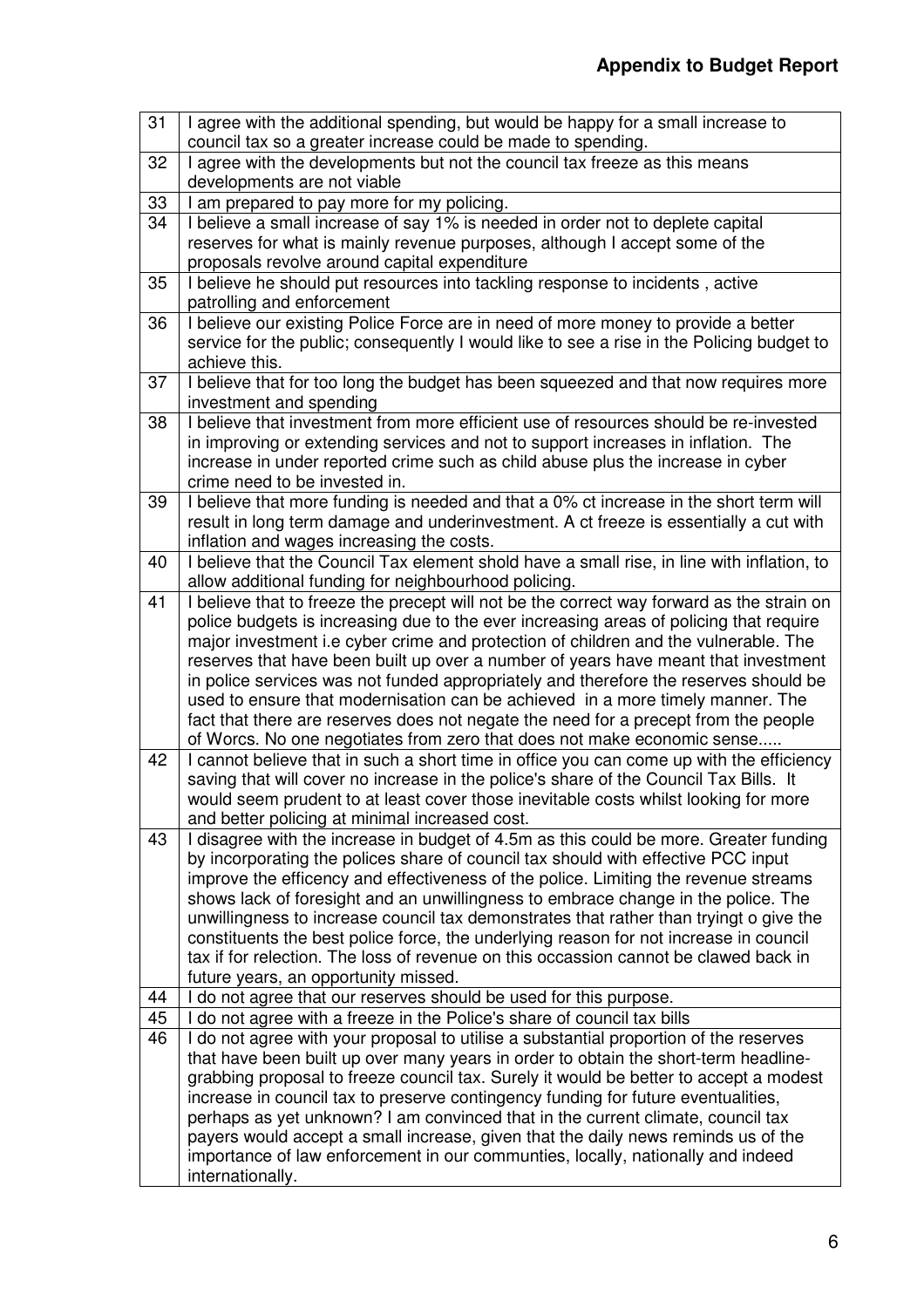| 31 | I agree with the additional spending, but would be happy for a small increase to<br>council tax so a greater increase could be made to spending.                         |
|----|--------------------------------------------------------------------------------------------------------------------------------------------------------------------------|
| 32 | I agree with the developments but not the council tax freeze as this means                                                                                               |
|    | developments are not viable                                                                                                                                              |
| 33 | I am prepared to pay more for my policing.                                                                                                                               |
| 34 | I believe a small increase of say 1% is needed in order not to deplete capital                                                                                           |
|    | reserves for what is mainly revenue purposes, although I accept some of the                                                                                              |
|    | proposals revolve around capital expenditure                                                                                                                             |
| 35 | I believe he should put resources into tackling response to incidents, active                                                                                            |
|    | patrolling and enforcement                                                                                                                                               |
| 36 | I believe our existing Police Force are in need of more money to provide a better                                                                                        |
|    | service for the public; consequently I would like to see a rise in the Policing budget to                                                                                |
|    | achieve this.                                                                                                                                                            |
| 37 | I believe that for too long the budget has been squeezed and that now requires more                                                                                      |
|    | investment and spending                                                                                                                                                  |
| 38 | I believe that investment from more efficient use of resources should be re-invested                                                                                     |
|    | in improving or extending services and not to support increases in inflation. The                                                                                        |
|    | increase in under reported crime such as child abuse plus the increase in cyber                                                                                          |
|    | crime need to be invested in.                                                                                                                                            |
| 39 | I believe that more funding is needed and that a 0% ct increase in the short term will                                                                                   |
|    | result in long term damage and underinvestment. A ct freeze is essentially a cut with                                                                                    |
|    | inflation and wages increasing the costs.                                                                                                                                |
| 40 | I believe that the Council Tax element shold have a small rise, in line with inflation, to                                                                               |
|    | allow additional funding for neighbourhood policing.                                                                                                                     |
| 41 | I believe that to freeze the precept will not be the correct way forward as the strain on                                                                                |
|    | police budgets is increasing due to the ever increasing areas of policing that require                                                                                   |
|    | major investment i.e cyber crime and protection of children and the vulnerable. The                                                                                      |
|    | reserves that have been built up over a number of years have meant that investment                                                                                       |
|    | in police services was not funded appropriately and therefore the reserves should be                                                                                     |
|    | used to ensure that modernisation can be achieved in a more timely manner. The                                                                                           |
|    | fact that there are reserves does not negate the need for a precept from the people                                                                                      |
|    | of Worcs. No one negotiates from zero that does not make economic sense                                                                                                  |
| 42 | I cannot believe that in such a short time in office you can come up with the efficiency                                                                                 |
|    | saving that will cover no increase in the police's share of the Council Tax Bills. It                                                                                    |
|    | would seem prudent to at least cover those inevitable costs whilst looking for more                                                                                      |
|    | and better policing at minimal increased cost.                                                                                                                           |
| 43 | I disagree with the increase in budget of 4.5m as this could be more. Greater funding                                                                                    |
|    | by incorporating the polices share of council tax should with effective PCC input                                                                                        |
|    | improve the efficency and effectiveness of the police. Limiting the revenue streams<br>shows lack of foresight and an unwillingness to embrace change in the police. The |
|    | unwillingness to increase council tax demonstrates that rather than tryingt o give the                                                                                   |
|    | constituents the best police force, the underlying reason for not increase in council                                                                                    |
|    | tax if for relection. The loss of revenue on this occassion cannot be clawed back in                                                                                     |
|    | future years, an opportunity missed.                                                                                                                                     |
| 44 | I do not agree that our reserves should be used for this purpose.                                                                                                        |
| 45 | I do not agree with a freeze in the Police's share of council tax bills                                                                                                  |
| 46 | I do not agree with your proposal to utilise a substantial proportion of the reserves                                                                                    |
|    | that have been built up over many years in order to obtain the short-term headline-                                                                                      |
|    | grabbing proposal to freeze council tax. Surely it would be better to accept a modest                                                                                    |
|    | increase in council tax to preserve contingency funding for future eventualities,                                                                                        |
|    | perhaps as yet unknown? I am convinced that in the current climate, council tax                                                                                          |
|    | payers would accept a small increase, given that the daily news reminds us of the                                                                                        |
|    | importance of law enforcement in our communties, locally, nationally and indeed                                                                                          |
|    | internationally.                                                                                                                                                         |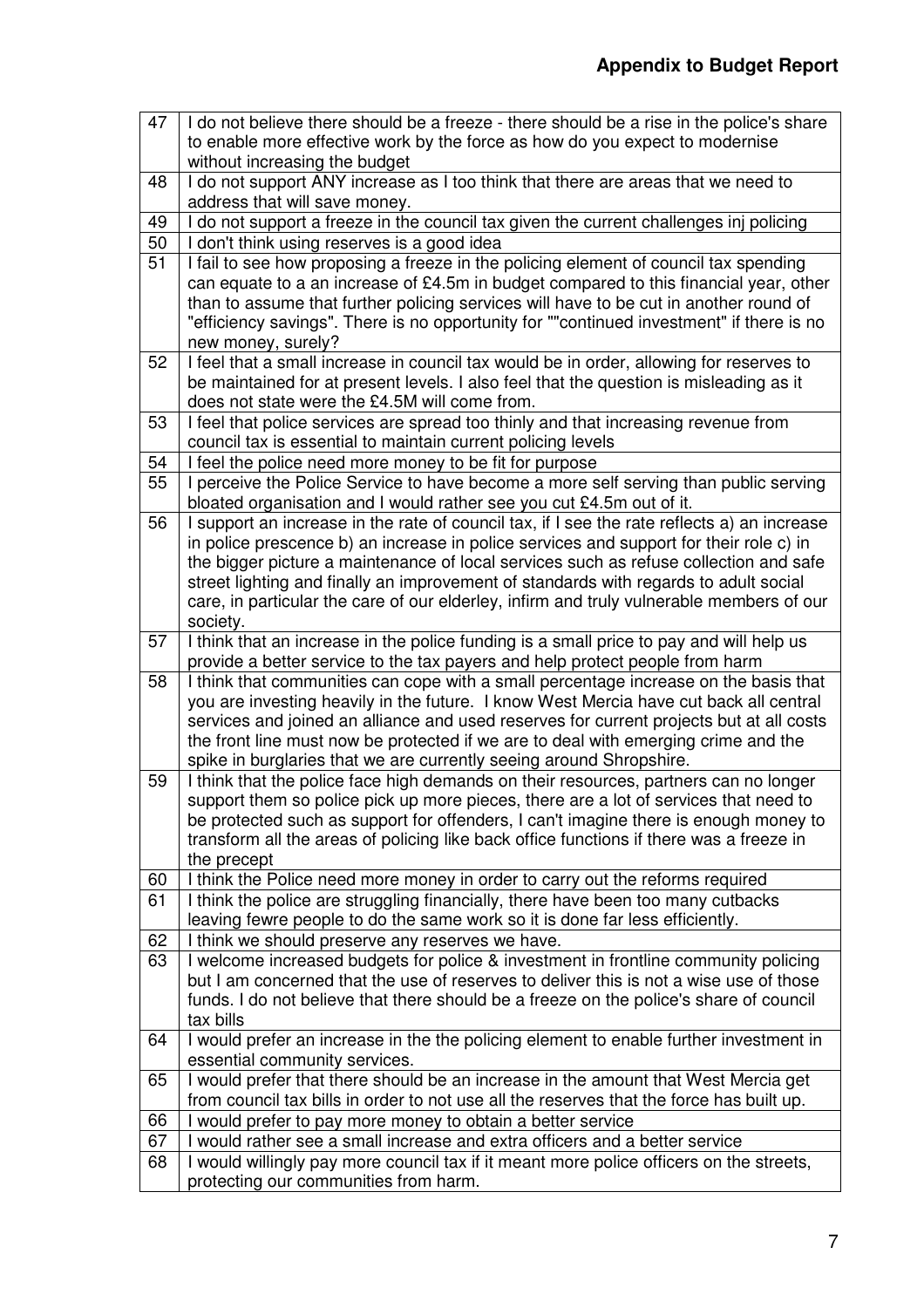| 47 | I do not believe there should be a freeze - there should be a rise in the police's share                                                 |
|----|------------------------------------------------------------------------------------------------------------------------------------------|
|    | to enable more effective work by the force as how do you expect to modernise                                                             |
|    | without increasing the budget                                                                                                            |
| 48 | I do not support ANY increase as I too think that there are areas that we need to                                                        |
|    | address that will save money.                                                                                                            |
| 49 | I do not support a freeze in the council tax given the current challenges inj policing                                                   |
| 50 | I don't think using reserves is a good idea                                                                                              |
| 51 | I fail to see how proposing a freeze in the policing element of council tax spending                                                     |
|    | can equate to a an increase of £4.5m in budget compared to this financial year, other                                                    |
|    | than to assume that further policing services will have to be cut in another round of                                                    |
|    | "efficiency savings". There is no opportunity for ""continued investment" if there is no                                                 |
|    | new money, surely?                                                                                                                       |
| 52 | I feel that a small increase in council tax would be in order, allowing for reserves to                                                  |
|    | be maintained for at present levels. I also feel that the question is misleading as it                                                   |
|    | does not state were the £4.5M will come from.                                                                                            |
| 53 | I feel that police services are spread too thinly and that increasing revenue from                                                       |
|    | council tax is essential to maintain current policing levels                                                                             |
| 54 | I feel the police need more money to be fit for purpose                                                                                  |
| 55 | I perceive the Police Service to have become a more self serving than public serving                                                     |
|    | bloated organisation and I would rather see you cut £4.5m out of it.                                                                     |
| 56 | I support an increase in the rate of council tax, if I see the rate reflects a) an increase                                              |
|    | in police prescence b) an increase in police services and support for their role c) in                                                   |
|    | the bigger picture a maintenance of local services such as refuse collection and safe                                                    |
|    | street lighting and finally an improvement of standards with regards to adult social                                                     |
|    | care, in particular the care of our elderley, infirm and truly vulnerable members of our<br>society.                                     |
| 57 | I think that an increase in the police funding is a small price to pay and will help us                                                  |
|    | provide a better service to the tax payers and help protect people from harm                                                             |
| 58 | I think that communities can cope with a small percentage increase on the basis that                                                     |
|    | you are investing heavily in the future. I know West Mercia have cut back all central                                                    |
|    | services and joined an alliance and used reserves for current projects but at all costs                                                  |
|    | the front line must now be protected if we are to deal with emerging crime and the                                                       |
|    | spike in burglaries that we are currently seeing around Shropshire.                                                                      |
| 59 | I think that the police face high demands on their resources, partners can no longer                                                     |
|    | support them so police pick up more pieces, there are a lot of services that need to                                                     |
|    | be protected such as support for offenders, I can't imagine there is enough money to                                                     |
|    | transform all the areas of policing like back office functions if there was a freeze in                                                  |
|    | the precept                                                                                                                              |
| 60 | I think the Police need more money in order to carry out the reforms required                                                            |
| 61 | I think the police are struggling financially, there have been too many cutbacks                                                         |
|    | leaving fewre people to do the same work so it is done far less efficiently.                                                             |
| 62 | I think we should preserve any reserves we have.                                                                                         |
| 63 | I welcome increased budgets for police & investment in frontline community policing                                                      |
|    | but I am concerned that the use of reserves to deliver this is not a wise use of those                                                   |
|    | funds. I do not believe that there should be a freeze on the police's share of council                                                   |
|    | tax bills                                                                                                                                |
| 64 | I would prefer an increase in the the policing element to enable further investment in                                                   |
|    | essential community services.                                                                                                            |
| 65 | I would prefer that there should be an increase in the amount that West Mercia get                                                       |
| 66 | from council tax bills in order to not use all the reserves that the force has built up.                                                 |
| 67 | I would prefer to pay more money to obtain a better service<br>would rather see a small increase and extra officers and a better service |
| 68 | I would willingly pay more council tax if it meant more police officers on the streets,                                                  |
|    | protecting our communities from harm.                                                                                                    |
|    |                                                                                                                                          |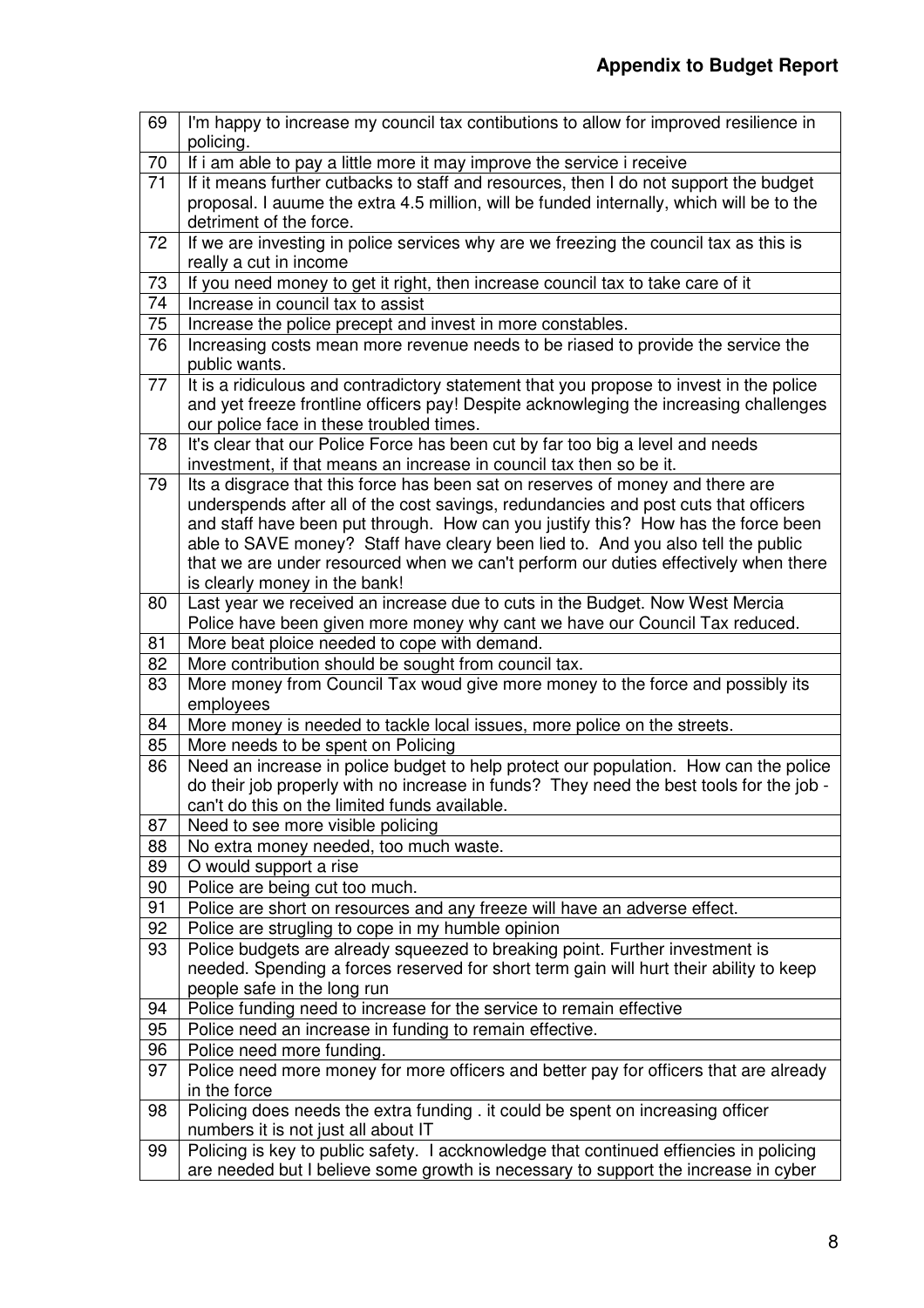| 69              | I'm happy to increase my council tax contibutions to allow for improved resilience in<br>policing.            |
|-----------------|---------------------------------------------------------------------------------------------------------------|
| 70              | If i am able to pay a little more it may improve the service i receive                                        |
| 71              | If it means further cutbacks to staff and resources, then I do not support the budget                         |
|                 | proposal. I auume the extra 4.5 million, will be funded internally, which will be to the                      |
|                 | detriment of the force.                                                                                       |
| 72              | If we are investing in police services why are we freezing the council tax as this is                         |
|                 | really a cut in income                                                                                        |
| 73              | If you need money to get it right, then increase council tax to take care of it                               |
| $\overline{74}$ | Increase in council tax to assist                                                                             |
| 75              | Increase the police precept and invest in more constables.                                                    |
| 76              | Increasing costs mean more revenue needs to be riased to provide the service the                              |
|                 | public wants.                                                                                                 |
| 77              | It is a ridiculous and contradictory statement that you propose to invest in the police                       |
|                 | and yet freeze frontline officers pay! Despite acknowleging the increasing challenges                         |
|                 | our police face in these troubled times.                                                                      |
| 78              | It's clear that our Police Force has been cut by far too big a level and needs                                |
|                 | investment, if that means an increase in council tax then so be it.                                           |
| 79              | Its a disgrace that this force has been sat on reserves of money and there are                                |
|                 | underspends after all of the cost savings, redundancies and post cuts that officers                           |
|                 | and staff have been put through. How can you justify this? How has the force been                             |
|                 | able to SAVE money? Staff have cleary been lied to. And you also tell the public                              |
|                 | that we are under resourced when we can't perform our duties effectively when there                           |
| 80              | is clearly money in the bank!<br>Last year we received an increase due to cuts in the Budget. Now West Mercia |
|                 | Police have been given more money why cant we have our Council Tax reduced.                                   |
| 81              | More beat ploice needed to cope with demand.                                                                  |
| 82              | More contribution should be sought from council tax.                                                          |
| 83              | More money from Council Tax woud give more money to the force and possibly its                                |
|                 | employees                                                                                                     |
| 84              | More money is needed to tackle local issues, more police on the streets.                                      |
| 85              | More needs to be spent on Policing                                                                            |
| 86              | Need an increase in police budget to help protect our population. How can the police                          |
|                 | do their job properly with no increase in funds? They need the best tools for the job -                       |
|                 | can't do this on the limited funds available.                                                                 |
| 87              | Need to see more visible policing                                                                             |
| 88              | No extra money needed, too much waste.                                                                        |
| 89              | O would support a rise                                                                                        |
| 90              | Police are being cut too much.                                                                                |
| 91              | Police are short on resources and any freeze will have an adverse effect.                                     |
| 92              | Police are strugling to cope in my humble opinion                                                             |
| 93              | Police budgets are already squeezed to breaking point. Further investment is                                  |
|                 | needed. Spending a forces reserved for short term gain will hurt their ability to keep                        |
|                 | people safe in the long run                                                                                   |
| 94<br>95        | Police funding need to increase for the service to remain effective                                           |
| 96              | Police need an increase in funding to remain effective.<br>Police need more funding.                          |
| 97              | Police need more money for more officers and better pay for officers that are already                         |
|                 | in the force                                                                                                  |
| 98              | Policing does needs the extra funding . it could be spent on increasing officer                               |
|                 | numbers it is not just all about IT                                                                           |
| 99              | Policing is key to public safety. I accknowledge that continued effiencies in policing                        |
|                 | are needed but I believe some growth is necessary to support the increase in cyber                            |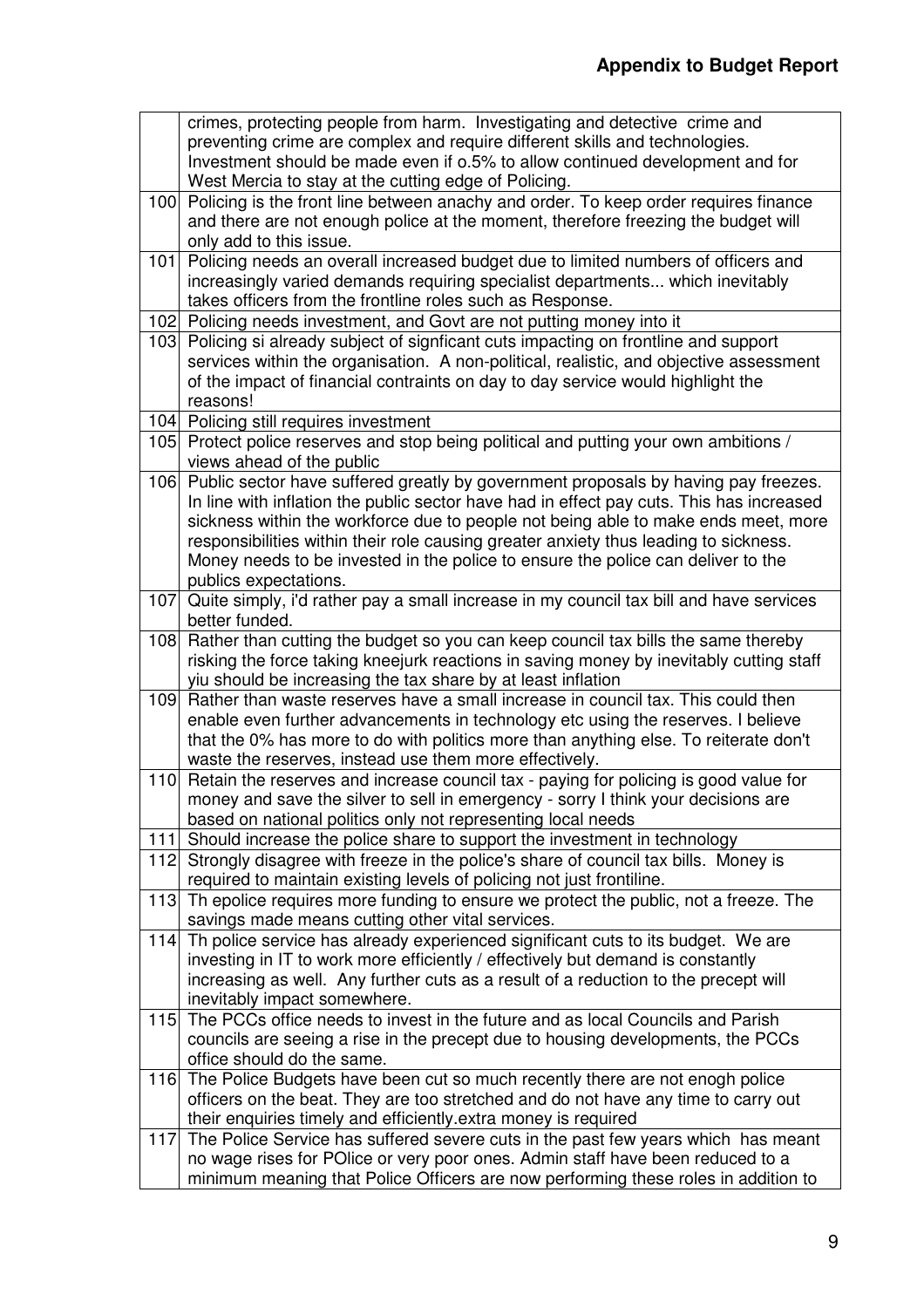|     | crimes, protecting people from harm. Investigating and detective crime and                                                                       |
|-----|--------------------------------------------------------------------------------------------------------------------------------------------------|
|     | preventing crime are complex and require different skills and technologies.                                                                      |
|     | Investment should be made even if 0.5% to allow continued development and for                                                                    |
|     | West Mercia to stay at the cutting edge of Policing.                                                                                             |
| 100 | Policing is the front line between anachy and order. To keep order requires finance                                                              |
|     | and there are not enough police at the moment, therefore freezing the budget will                                                                |
| 101 | only add to this issue.<br>Policing needs an overall increased budget due to limited numbers of officers and                                     |
|     | increasingly varied demands requiring specialist departments which inevitably                                                                    |
|     | takes officers from the frontline roles such as Response.                                                                                        |
|     | 102 Policing needs investment, and Govt are not putting money into it                                                                            |
| 103 | Policing si already subject of signficant cuts impacting on frontline and support                                                                |
|     | services within the organisation. A non-political, realistic, and objective assessment                                                           |
|     | of the impact of financial contraints on day to day service would highlight the                                                                  |
|     | reasons!                                                                                                                                         |
|     | 104 Policing still requires investment                                                                                                           |
| 105 | Protect police reserves and stop being political and putting your own ambitions /                                                                |
|     | views ahead of the public                                                                                                                        |
| 106 | Public sector have suffered greatly by government proposals by having pay freezes.                                                               |
|     | In line with inflation the public sector have had in effect pay cuts. This has increased                                                         |
|     | sickness within the workforce due to people not being able to make ends meet, more                                                               |
|     | responsibilities within their role causing greater anxiety thus leading to sickness.                                                             |
|     | Money needs to be invested in the police to ensure the police can deliver to the                                                                 |
|     | publics expectations.                                                                                                                            |
| 107 | Quite simply, i'd rather pay a small increase in my council tax bill and have services                                                           |
|     | better funded.                                                                                                                                   |
| 108 | Rather than cutting the budget so you can keep council tax bills the same thereby                                                                |
|     | risking the force taking kneejurk reactions in saving money by inevitably cutting staff                                                          |
| 109 | yiu should be increasing the tax share by at least inflation<br>Rather than waste reserves have a small increase in council tax. This could then |
|     | enable even further advancements in technology etc using the reserves. I believe                                                                 |
|     | that the 0% has more to do with politics more than anything else. To reiterate don't                                                             |
|     | waste the reserves, instead use them more effectively.                                                                                           |
| 110 | Retain the reserves and increase council tax - paying for policing is good value for                                                             |
|     | money and save the silver to sell in emergency - sorry I think your decisions are                                                                |
|     | based on national politics only not representing local needs                                                                                     |
| 111 | Should increase the police share to support the investment in technology                                                                         |
|     | 112 Strongly disagree with freeze in the police's share of council tax bills. Money is                                                           |
|     | required to maintain existing levels of policing not just frontiline.                                                                            |
| 113 | Th epolice requires more funding to ensure we protect the public, not a freeze. The                                                              |
|     | savings made means cutting other vital services.                                                                                                 |
|     | 114 Th police service has already experienced significant cuts to its budget. We are                                                             |
|     | investing in IT to work more efficiently / effectively but demand is constantly                                                                  |
|     | increasing as well. Any further cuts as a result of a reduction to the precept will                                                              |
|     | inevitably impact somewhere.                                                                                                                     |
|     | 115 The PCCs office needs to invest in the future and as local Councils and Parish                                                               |
|     | councils are seeing a rise in the precept due to housing developments, the PCCs                                                                  |
| 116 | office should do the same.<br>The Police Budgets have been cut so much recently there are not enogh police                                       |
|     | officers on the beat. They are too stretched and do not have any time to carry out                                                               |
|     | their enquiries timely and efficiently extra money is required                                                                                   |
| 117 | The Police Service has suffered severe cuts in the past few years which has meant                                                                |
|     | no wage rises for POlice or very poor ones. Admin staff have been reduced to a                                                                   |
|     | minimum meaning that Police Officers are now performing these roles in addition to                                                               |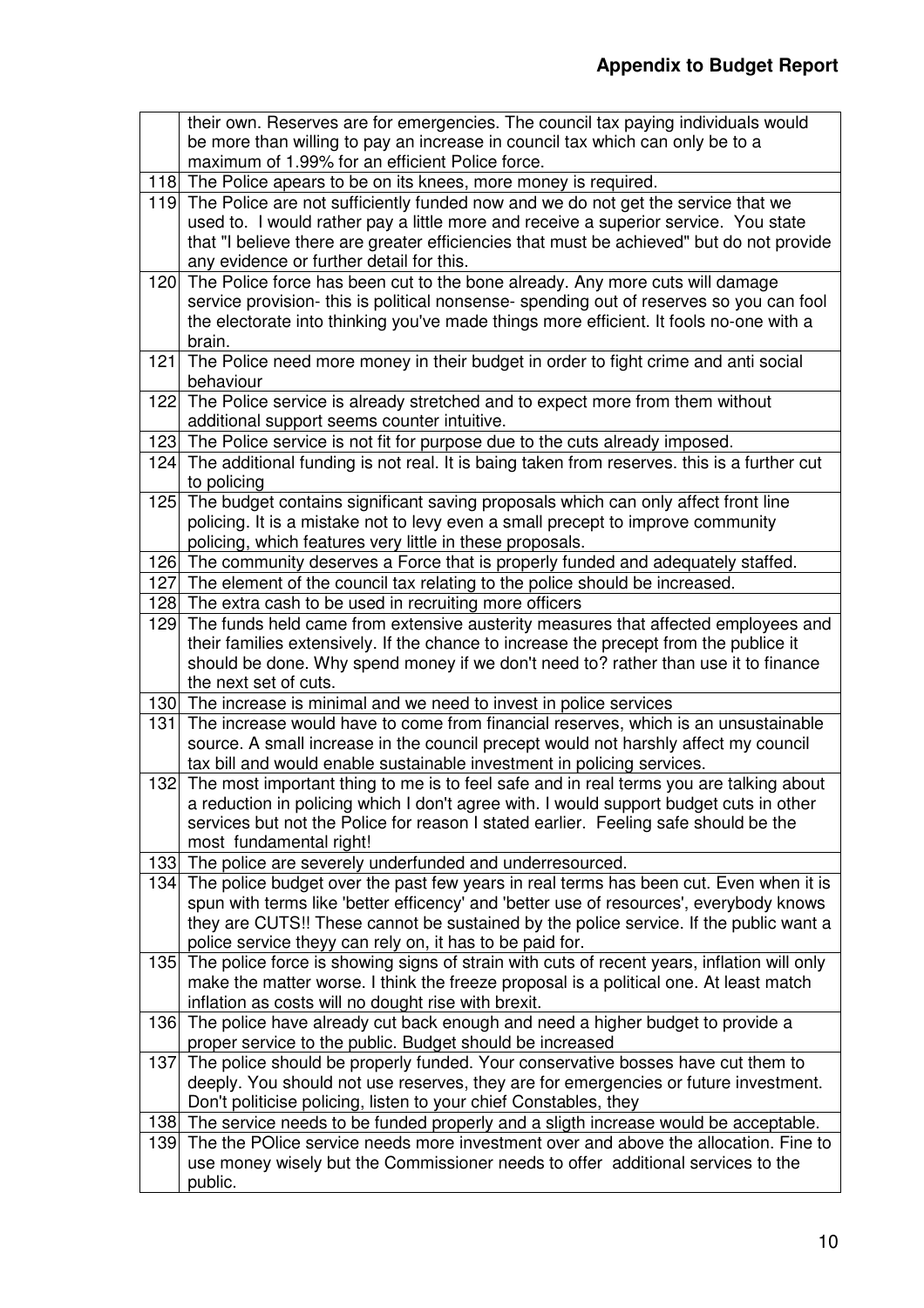|     | their own. Reserves are for emergencies. The council tax paying individuals would                                                                                       |
|-----|-------------------------------------------------------------------------------------------------------------------------------------------------------------------------|
|     | be more than willing to pay an increase in council tax which can only be to a                                                                                           |
|     | maximum of 1.99% for an efficient Police force.                                                                                                                         |
|     | 118 The Police apears to be on its knees, more money is required.                                                                                                       |
|     | 119 The Police are not sufficiently funded now and we do not get the service that we                                                                                    |
|     | used to. I would rather pay a little more and receive a superior service. You state                                                                                     |
|     | that "I believe there are greater efficiencies that must be achieved" but do not provide                                                                                |
|     | any evidence or further detail for this.                                                                                                                                |
| 120 | The Police force has been cut to the bone already. Any more cuts will damage<br>service provision- this is political nonsense- spending out of reserves so you can fool |
|     | the electorate into thinking you've made things more efficient. It fools no-one with a                                                                                  |
|     | brain.                                                                                                                                                                  |
| 121 | The Police need more money in their budget in order to fight crime and anti social                                                                                      |
|     | behaviour                                                                                                                                                               |
|     | 122 The Police service is already stretched and to expect more from them without                                                                                        |
|     | additional support seems counter intuitive.                                                                                                                             |
|     | 123 The Police service is not fit for purpose due to the cuts already imposed.                                                                                          |
|     | 124 The additional funding is not real. It is baing taken from reserves. this is a further cut                                                                          |
|     | to policing                                                                                                                                                             |
|     | 125 The budget contains significant saving proposals which can only affect front line                                                                                   |
|     | policing. It is a mistake not to levy even a small precept to improve community                                                                                         |
|     | policing, which features very little in these proposals.                                                                                                                |
|     | 126 The community deserves a Force that is properly funded and adequately staffed.                                                                                      |
|     | 127 The element of the council tax relating to the police should be increased.                                                                                          |
|     | 128 The extra cash to be used in recruiting more officers                                                                                                               |
|     | 129 The funds held came from extensive austerity measures that affected employees and                                                                                   |
|     | their families extensively. If the chance to increase the precept from the publice it                                                                                   |
|     | should be done. Why spend money if we don't need to? rather than use it to finance                                                                                      |
|     | the next set of cuts.<br>130 The increase is minimal and we need to invest in police services                                                                           |
| 131 | The increase would have to come from financial reserves, which is an unsustainable                                                                                      |
|     | source. A small increase in the council precept would not harshly affect my council                                                                                     |
|     | tax bill and would enable sustainable investment in policing services.                                                                                                  |
|     | 132 The most important thing to me is to feel safe and in real terms you are talking about                                                                              |
|     | a reduction in policing which I don't agree with. I would support budget cuts in other                                                                                  |
|     | services but not the Police for reason I stated earlier. Feeling safe should be the                                                                                     |
|     | most fundamental right!                                                                                                                                                 |
|     | 133 The police are severely underfunded and underresourced.                                                                                                             |
|     | 134 The police budget over the past few years in real terms has been cut. Even when it is                                                                               |
|     | spun with terms like 'better efficency' and 'better use of resources', everybody knows                                                                                  |
|     | they are CUTS!! These cannot be sustained by the police service. If the public want a                                                                                   |
|     | police service theyy can rely on, it has to be paid for.                                                                                                                |
|     | 135 The police force is showing signs of strain with cuts of recent years, inflation will only                                                                          |
|     | make the matter worse. I think the freeze proposal is a political one. At least match                                                                                   |
|     | inflation as costs will no dought rise with brexit.                                                                                                                     |
|     | 136 The police have already cut back enough and need a higher budget to provide a                                                                                       |
|     | proper service to the public. Budget should be increased                                                                                                                |
| 137 | The police should be properly funded. Your conservative bosses have cut them to                                                                                         |
|     | deeply. You should not use reserves, they are for emergencies or future investment.<br>Don't politicise policing, listen to your chief Constables, they                 |
|     | 138 The service needs to be funded properly and a sligth increase would be acceptable.                                                                                  |
| 139 | The the POlice service needs more investment over and above the allocation. Fine to                                                                                     |
|     | use money wisely but the Commissioner needs to offer additional services to the                                                                                         |
|     | public.                                                                                                                                                                 |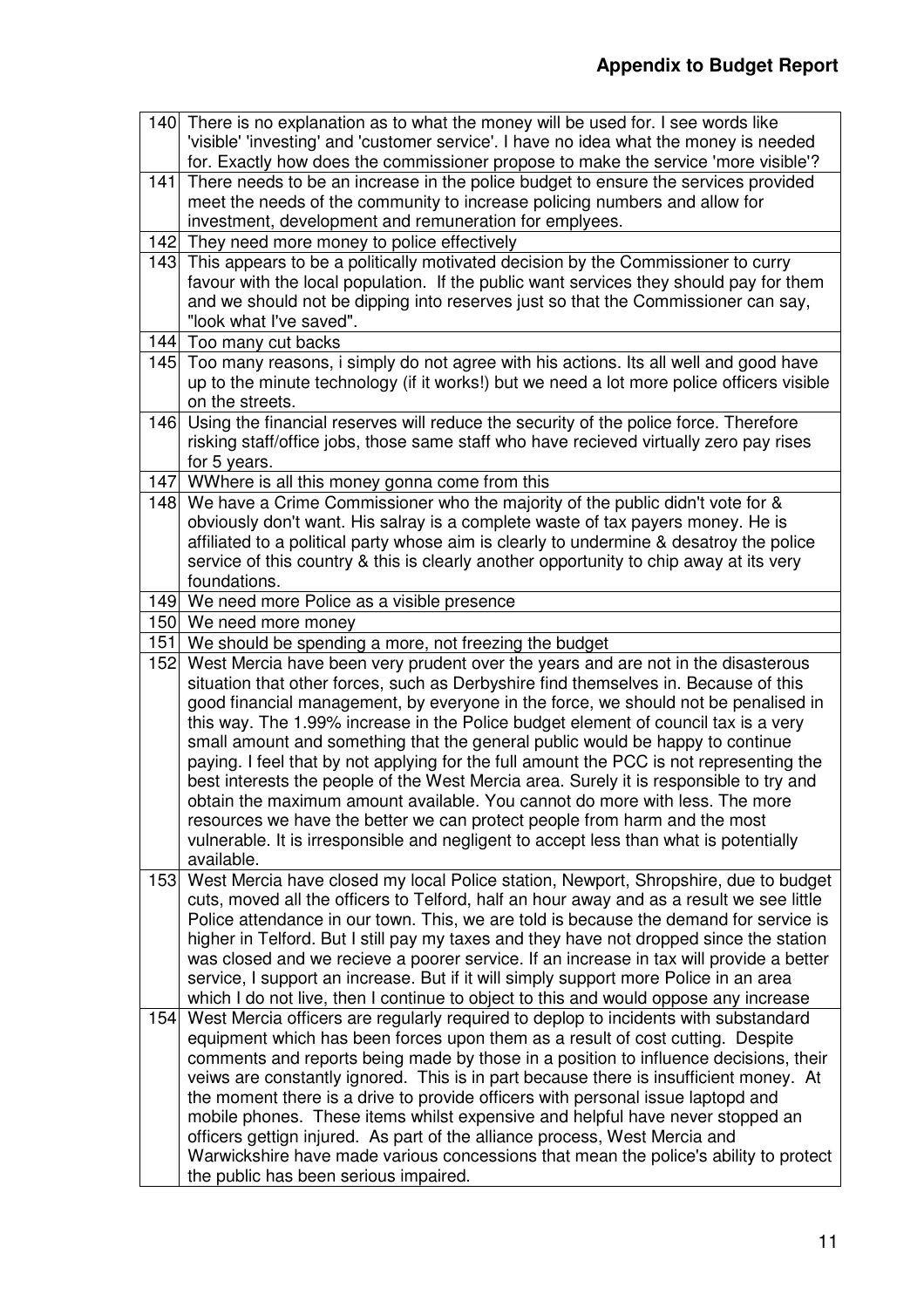|     | 140 There is no explanation as to what the money will be used for. I see words like<br>'visible' 'investing' and 'customer service'. I have no idea what the money is needed<br>for. Exactly how does the commissioner propose to make the service 'more visible'? |
|-----|--------------------------------------------------------------------------------------------------------------------------------------------------------------------------------------------------------------------------------------------------------------------|
| 141 | There needs to be an increase in the police budget to ensure the services provided<br>meet the needs of the community to increase policing numbers and allow for                                                                                                   |
|     | investment, development and remuneration for emplyees.                                                                                                                                                                                                             |
|     | 142 They need more money to police effectively<br>143 This appears to be a politically motivated decision by the Commissioner to curry                                                                                                                             |
|     | favour with the local population. If the public want services they should pay for them<br>and we should not be dipping into reserves just so that the Commissioner can say,                                                                                        |
|     | "look what I've saved".                                                                                                                                                                                                                                            |
|     | 144 Too many cut backs                                                                                                                                                                                                                                             |
|     | 145 Too many reasons, i simply do not agree with his actions. Its all well and good have<br>up to the minute technology (if it works!) but we need a lot more police officers visible<br>on the streets.                                                           |
| 146 | Using the financial reserves will reduce the security of the police force. Therefore                                                                                                                                                                               |
|     | risking staff/office jobs, those same staff who have recieved virtually zero pay rises                                                                                                                                                                             |
|     | for 5 years.                                                                                                                                                                                                                                                       |
|     | 147 WWhere is all this money gonna come from this                                                                                                                                                                                                                  |
|     | 148 We have a Crime Commissioner who the majority of the public didn't vote for &                                                                                                                                                                                  |
|     | obviously don't want. His salray is a complete waste of tax payers money. He is                                                                                                                                                                                    |
|     | affiliated to a political party whose aim is clearly to undermine & desatroy the police                                                                                                                                                                            |
|     | service of this country & this is clearly another opportunity to chip away at its very                                                                                                                                                                             |
|     | foundations.                                                                                                                                                                                                                                                       |
|     | 149 We need more Police as a visible presence                                                                                                                                                                                                                      |
| 151 | 150 We need more money<br>We should be spending a more, not freezing the budget                                                                                                                                                                                    |
| 152 | West Mercia have been very prudent over the years and are not in the disasterous                                                                                                                                                                                   |
|     | situation that other forces, such as Derbyshire find themselves in. Because of this<br>good financial management, by everyone in the force, we should not be penalised in                                                                                          |
|     | this way. The 1.99% increase in the Police budget element of council tax is a very                                                                                                                                                                                 |
|     | small amount and something that the general public would be happy to continue                                                                                                                                                                                      |
|     | paying. I feel that by not applying for the full amount the PCC is not representing the                                                                                                                                                                            |
|     | best interests the people of the West Mercia area. Surely it is responsible to try and                                                                                                                                                                             |
|     | obtain the maximum amount available. You cannot do more with less. The more                                                                                                                                                                                        |
|     | resources we have the better we can protect people from harm and the most                                                                                                                                                                                          |
|     | vulnerable. It is irresponsible and negligent to accept less than what is potentially<br>available.                                                                                                                                                                |
| 153 | West Mercia have closed my local Police station, Newport, Shropshire, due to budget                                                                                                                                                                                |
|     | cuts, moved all the officers to Telford, half an hour away and as a result we see little                                                                                                                                                                           |
|     | Police attendance in our town. This, we are told is because the demand for service is                                                                                                                                                                              |
|     | higher in Telford. But I still pay my taxes and they have not dropped since the station                                                                                                                                                                            |
|     | was closed and we recieve a poorer service. If an increase in tax will provide a better                                                                                                                                                                            |
|     | service, I support an increase. But if it will simply support more Police in an area                                                                                                                                                                               |
|     | which I do not live, then I continue to object to this and would oppose any increase                                                                                                                                                                               |
| 154 | West Mercia officers are regularly required to deplop to incidents with substandard                                                                                                                                                                                |
|     | equipment which has been forces upon them as a result of cost cutting. Despite                                                                                                                                                                                     |
|     | comments and reports being made by those in a position to influence decisions, their                                                                                                                                                                               |
|     | veiws are constantly ignored. This is in part because there is insufficient money. At                                                                                                                                                                              |
|     | the moment there is a drive to provide officers with personal issue laptopd and                                                                                                                                                                                    |
|     | mobile phones. These items whilst expensive and helpful have never stopped an<br>officers gettign injured. As part of the alliance process, West Mercia and                                                                                                        |
|     | Warwickshire have made various concessions that mean the police's ability to protect                                                                                                                                                                               |
|     | the public has been serious impaired.                                                                                                                                                                                                                              |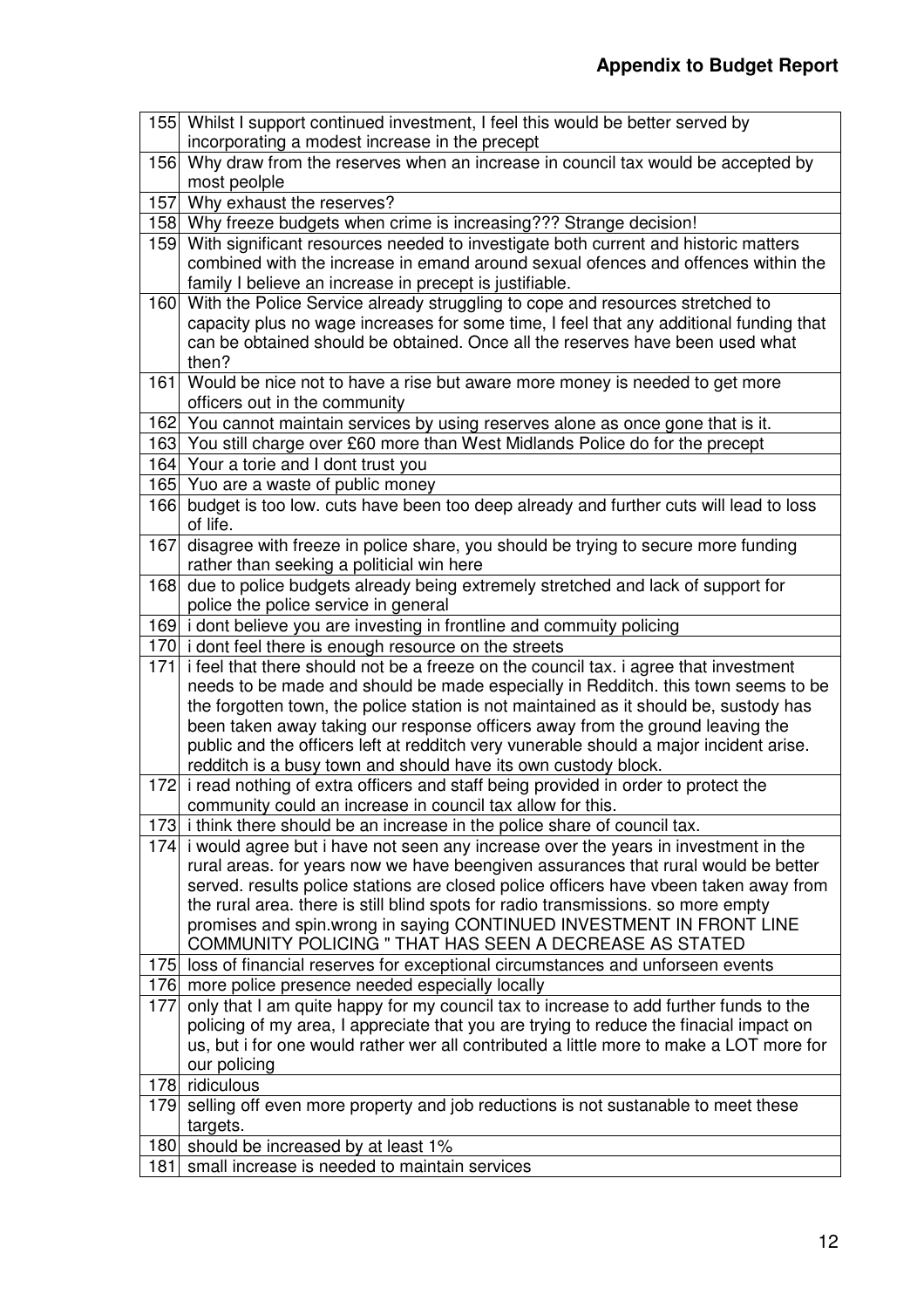|     | 155 Whilst I support continued investment, I feel this would be better served by                                                                                       |
|-----|------------------------------------------------------------------------------------------------------------------------------------------------------------------------|
|     | incorporating a modest increase in the precept                                                                                                                         |
|     | 156 Why draw from the reserves when an increase in council tax would be accepted by                                                                                    |
|     | most peolple                                                                                                                                                           |
| 157 | Why exhaust the reserves?                                                                                                                                              |
|     | 158 Why freeze budgets when crime is increasing??? Strange decision!                                                                                                   |
|     | 159 With significant resources needed to investigate both current and historic matters                                                                                 |
|     | combined with the increase in emand around sexual ofences and offences within the                                                                                      |
|     | family I believe an increase in precept is justifiable.                                                                                                                |
|     | 160 With the Police Service already struggling to cope and resources stretched to                                                                                      |
|     | capacity plus no wage increases for some time, I feel that any additional funding that                                                                                 |
|     | can be obtained should be obtained. Once all the reserves have been used what<br>then?                                                                                 |
|     | 161 Would be nice not to have a rise but aware more money is needed to get more                                                                                        |
|     | officers out in the community                                                                                                                                          |
|     | 162 You cannot maintain services by using reserves alone as once gone that is it.                                                                                      |
|     | 163 You still charge over £60 more than West Midlands Police do for the precept                                                                                        |
|     | 164 Your a torie and I dont trust you                                                                                                                                  |
|     | 165 Yuo are a waste of public money                                                                                                                                    |
| 166 | budget is too low. cuts have been too deep already and further cuts will lead to loss                                                                                  |
|     | of life.                                                                                                                                                               |
| 167 | disagree with freeze in police share, you should be trying to secure more funding                                                                                      |
|     | rather than seeking a politicial win here                                                                                                                              |
| 168 | due to police budgets already being extremely stretched and lack of support for                                                                                        |
|     | police the police service in general                                                                                                                                   |
|     | 169 i dont believe you are investing in frontline and commuity policing                                                                                                |
|     | 170 i dont feel there is enough resource on the streets                                                                                                                |
| 171 | i feel that there should not be a freeze on the council tax. i agree that investment                                                                                   |
|     | needs to be made and should be made especially in Redditch. this town seems to be                                                                                      |
|     | the forgotten town, the police station is not maintained as it should be, sustody has<br>been taken away taking our response officers away from the ground leaving the |
|     | public and the officers left at redditch very vunerable should a major incident arise.                                                                                 |
|     | redditch is a busy town and should have its own custody block.                                                                                                         |
|     | 172 i read nothing of extra officers and staff being provided in order to protect the                                                                                  |
|     | community could an increase in council tax allow for this.                                                                                                             |
|     | 173 i think there should be an increase in the police share of council tax.                                                                                            |
|     | 174 i would agree but i have not seen any increase over the years in investment in the                                                                                 |
|     | rural areas. for years now we have beengiven assurances that rural would be better                                                                                     |
|     | served. results police stations are closed police officers have vbeen taken away from                                                                                  |
|     | the rural area. there is still blind spots for radio transmissions. so more empty                                                                                      |
|     | promises and spin.wrong in saying CONTINUED INVESTMENT IN FRONT LINE                                                                                                   |
|     | COMMUNITY POLICING " THAT HAS SEEN A DECREASE AS STATED                                                                                                                |
|     | 175 loss of financial reserves for exceptional circumstances and unforseen events                                                                                      |
|     | 176 more police presence needed especially locally                                                                                                                     |
| 177 | only that I am quite happy for my council tax to increase to add further funds to the                                                                                  |
|     | policing of my area, I appreciate that you are trying to reduce the finacial impact on                                                                                 |
|     | us, but i for one would rather wer all contributed a little more to make a LOT more for<br>our policing                                                                |
|     | 178 ridiculous                                                                                                                                                         |
| 179 | selling off even more property and job reductions is not sustanable to meet these                                                                                      |
|     | targets.                                                                                                                                                               |
|     | 180 should be increased by at least 1%                                                                                                                                 |
| 181 | small increase is needed to maintain services                                                                                                                          |